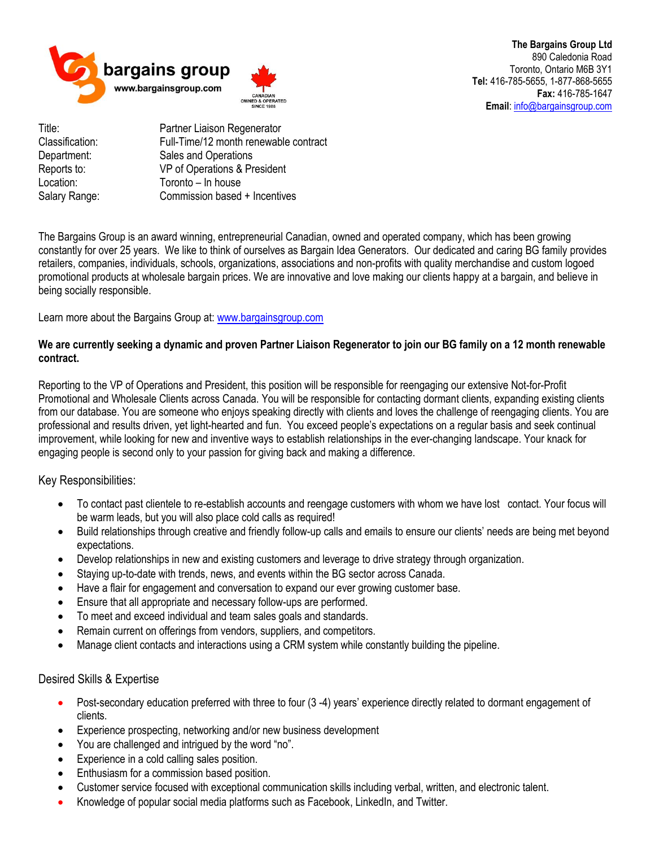

**The Bargains Group Ltd** 890 Caledonia Road Toronto, Ontario M6B 3Y1 **Tel:** 416-785-5655, 1-877-868-5655 **Fax:** 416-785-1647 **Email**[: info@bargainsgroup.com](mailto:info@bargainsgroup.com)

Title: Partner Liaison Regenerator Classification: Full-Time/12 month renewable contract Department: Sales and Operations Reports to: VP of Operations & President Location: Toronto – In house Salary Range: Commission based + Incentives

The Bargains Group is an award winning, entrepreneurial Canadian, owned and operated company, which has been growing constantly for over 25 years. We like to think of ourselves as Bargain Idea Generators. Our dedicated and caring BG family provides retailers, companies, individuals, schools, organizations, associations and non-profits with quality merchandise and custom logoed promotional products at wholesale bargain prices. We are innovative and love making our clients happy at a bargain, and believe in being socially responsible.

Learn more about the Bargains Group at: [www.bargainsgroup.com](http://www.bargainsgroup.com/)

## **We are currently seeking a dynamic and proven Partner Liaison Regenerator to join our BG family on a 12 month renewable contract.**

Reporting to the VP of Operations and President, this position will be responsible for reengaging our extensive Not-for-Profit Promotional and Wholesale Clients across Canada. You will be responsible for contacting dormant clients, expanding existing clients from our database. You are someone who enjoys speaking directly with clients and loves the challenge of reengaging clients. You are professional and results driven, yet light-hearted and fun. You exceed people's expectations on a regular basis and seek continual improvement, while looking for new and inventive ways to establish relationships in the ever-changing landscape. Your knack for engaging people is second only to your passion for giving back and making a difference.

Key Responsibilities:

- To contact past clientele to re-establish accounts and reengage customers with whom we have lost contact. Your focus will be warm leads, but you will also place cold calls as required!
- Build relationships through creative and friendly follow-up calls and emails to ensure our clients' needs are being met beyond expectations.
- Develop relationships in new and existing customers and leverage to drive strategy through organization.
- Staying up-to-date with trends, news, and events within the BG sector across Canada.
- Have a flair for engagement and conversation to expand our ever growing customer base.
- Ensure that all appropriate and necessary follow-ups are performed.
- To meet and exceed individual and team sales goals and standards.
- Remain current on offerings from vendors, suppliers, and competitors.
- Manage client contacts and interactions using a CRM system while constantly building the pipeline.

## Desired Skills & Expertise

- Post-secondary education preferred with three to four (3 -4) years' experience directly related to dormant engagement of clients.
- Experience prospecting, networking and/or new business development
- You are challenged and intrigued by the word "no".
- Experience in a cold calling sales position.
- Enthusiasm for a commission based position.
- Customer service focused with exceptional communication skills including verbal, written, and electronic talent.
- Knowledge of popular social media platforms such as Facebook, LinkedIn, and Twitter.